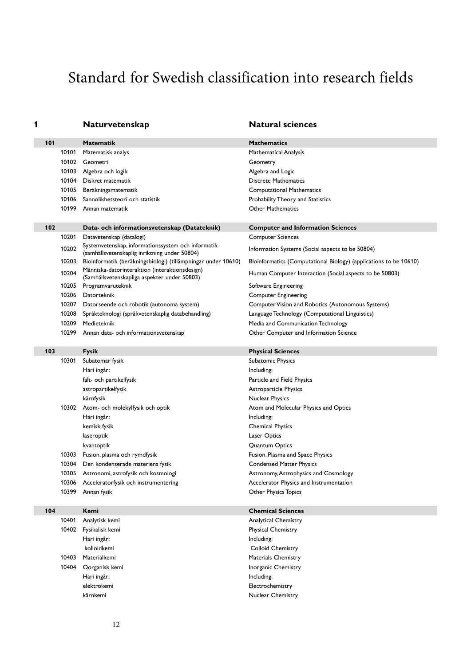# Standard for Swedish classification into research fields

**Naturvetenskap Natural sciences** 

| 101 |       | Matematik                                                                                           | <b>Mathematics</b>                                                |
|-----|-------|-----------------------------------------------------------------------------------------------------|-------------------------------------------------------------------|
|     | 10101 | Matematisk analys                                                                                   | Mathematical Analysis                                             |
|     | 10102 | Geometri                                                                                            | Geometry                                                          |
|     | 10103 | Algebra och logik                                                                                   | Algebra and Logic                                                 |
|     | 10104 | Diskret matematik                                                                                   | <b>Discrete Mathematics</b>                                       |
|     | 10105 | Beräkningsmatematik                                                                                 | <b>Computational Mathematics</b>                                  |
|     | 10106 | Sannolikhetsteori och statistik                                                                     | Probability Theory and Statistics                                 |
|     | 10199 | Annan matematik                                                                                     | <b>Other Mathematics</b>                                          |
|     |       |                                                                                                     |                                                                   |
| 102 |       | Data- och informationsvetenskap (Datateknik)                                                        | <b>Computer and Information Sciences</b>                          |
|     | 10201 | Datavetenskap (datalogi)                                                                            | <b>Computer Sciences</b>                                          |
|     | 10202 | Systemvetenskap, informationssystem och informatik<br>(samhällsvetenskaplig inriktning under 50804) | Information Systems (Social aspects to be 50804)                  |
|     | 10203 | Bioinformatik (beräkningsbiologi) (tillämpningar under 10610)                                       | Bioinformatics (Computational Biology) (applications to be 10610) |
|     | 10204 | Människa-datorinteraktion (interaktionsdesign)<br>(Samhällsvetenskapliga aspekter under 50803)      | Human Computer Interaction (Social aspects to be 50803)           |
|     | 10205 | Programvaruteknik                                                                                   | Software Engineering                                              |
|     | 10206 | Datorteknik                                                                                         | <b>Computer Engineering</b>                                       |
|     | 10207 | Datorseende och robotik (autonoma system)                                                           | Computer Vision and Robotics (Autonomous Systems)                 |
|     | 10208 | Språkteknologi (språkvetenskaplig databehandling)                                                   | Language Technology (Computational Linguistics)                   |
|     | 10209 | Medieteknik                                                                                         | Media and Communication Technology                                |
|     | 10299 | Annan data- och informationsvetenskap                                                               | Other Computer and Information Science                            |
|     |       |                                                                                                     |                                                                   |
| 103 |       | <b>Fysik</b>                                                                                        | <b>Physical Sciences</b>                                          |
|     | 10301 | Subatomär fysik                                                                                     | Subatomic Physics                                                 |
|     |       | Häri ingår:                                                                                         | Including:                                                        |
|     |       | fält- och partikelfysik                                                                             | Particle and Field Physics                                        |
|     |       | astropartikelfysik                                                                                  | <b>Astroparticle Physics</b>                                      |
|     |       | kärnfysik                                                                                           | Nuclear Physics                                                   |
|     | 10302 | Atom- och molekylfysik och optik                                                                    | Atom and Molecular Physics and Optics                             |
|     |       | Häri ingår:                                                                                         | Including:                                                        |
|     |       | kemisk fysik                                                                                        | <b>Chemical Physics</b>                                           |
|     |       | laseroptik                                                                                          | Laser Optics                                                      |
|     |       | kvantoptik                                                                                          | Quantum Optics                                                    |
|     | 10303 | Fusion, plasma och rymdfysik                                                                        | Fusion, Plasma and Space Physics                                  |
|     | 10304 | Den kondenserade materiens fysik                                                                    | <b>Condensed Matter Physics</b>                                   |
|     | 10305 | Astronomi, astrofysik och kosmologi                                                                 | Astronomy, Astrophysics and Cosmology                             |
|     |       | 10306 Acceleratorfysik och instrumentering                                                          | Accelerator Physics and Instrumentation                           |
|     |       | 10399 Annan fysik                                                                                   | Other Physics Topics                                              |
| 104 |       | Kemi                                                                                                | <b>Chemical Sciences</b>                                          |
|     | 10401 | Analytisk kemi                                                                                      | Analytical Chemistry                                              |
|     | 10402 | Fysikalisk kemi                                                                                     | Physical Chemistry                                                |
|     |       |                                                                                                     | Including:                                                        |
|     |       |                                                                                                     |                                                                   |
|     |       | Häri ingår:<br>kolloidkemi                                                                          | Colloid Chemistry                                                 |

10404 Oorganisk kemi **Installe State State Chemistry** Inorganic Chemistry Häri ingår: **Including:** Including: elektrokemi Electrochemistry kärnkemi **Nuclear Chemistry**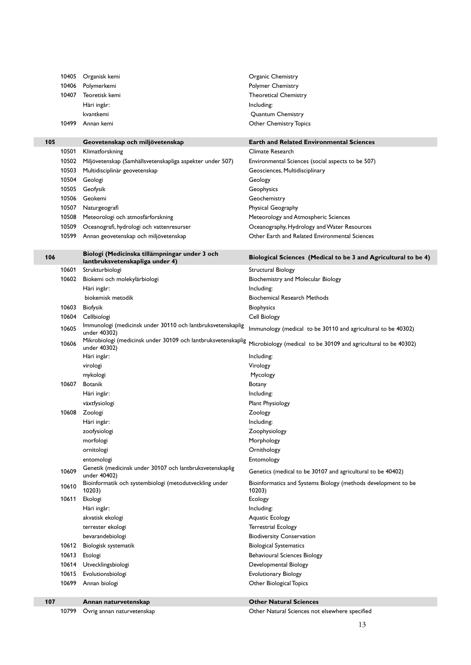| 107 | 10610<br>10611<br>10612<br>10613<br>10614<br>10615<br>10699 | 10203)<br>Ekologi<br>Häri ingår:<br>akvatisk ekologi<br>terrester ekologi<br>bevarandebiologi<br>Biologisk systematik<br>Etologi<br>Utvecklingsbiologi<br>Evolutionsbiologi<br>Annan biologi<br>Annan naturvetenskap | 10203)<br>Ecology<br>Including:<br>Aquatic Ecology<br><b>Terrestrial Ecology</b><br><b>Biodiversity Conservation</b><br><b>Biological Systematics</b><br><b>Behavioural Sciences Biology</b><br>Developmental Biology<br><b>Evolutionary Biology</b><br>Other Biological Topics<br><b>Other Natural Sciences</b> |
|-----|-------------------------------------------------------------|----------------------------------------------------------------------------------------------------------------------------------------------------------------------------------------------------------------------|------------------------------------------------------------------------------------------------------------------------------------------------------------------------------------------------------------------------------------------------------------------------------------------------------------------|
|     |                                                             |                                                                                                                                                                                                                      |                                                                                                                                                                                                                                                                                                                  |
|     |                                                             |                                                                                                                                                                                                                      |                                                                                                                                                                                                                                                                                                                  |
|     |                                                             |                                                                                                                                                                                                                      |                                                                                                                                                                                                                                                                                                                  |
|     |                                                             |                                                                                                                                                                                                                      |                                                                                                                                                                                                                                                                                                                  |
|     |                                                             |                                                                                                                                                                                                                      |                                                                                                                                                                                                                                                                                                                  |
|     |                                                             |                                                                                                                                                                                                                      |                                                                                                                                                                                                                                                                                                                  |
|     |                                                             |                                                                                                                                                                                                                      |                                                                                                                                                                                                                                                                                                                  |
|     |                                                             |                                                                                                                                                                                                                      |                                                                                                                                                                                                                                                                                                                  |
|     |                                                             |                                                                                                                                                                                                                      |                                                                                                                                                                                                                                                                                                                  |
|     |                                                             |                                                                                                                                                                                                                      |                                                                                                                                                                                                                                                                                                                  |
|     |                                                             |                                                                                                                                                                                                                      |                                                                                                                                                                                                                                                                                                                  |
|     |                                                             |                                                                                                                                                                                                                      |                                                                                                                                                                                                                                                                                                                  |
|     |                                                             | Bioinformatik och systembiologi (metodutveckling under                                                                                                                                                               | Bioinformatics and Systems Biology (methods development to be                                                                                                                                                                                                                                                    |
|     | 10609                                                       | Genetik (medicinsk under 30107 och lantbruksvetenskaplig<br>under 40402)                                                                                                                                             | Genetics (medical to be 30107 and agricultural to be 40402)                                                                                                                                                                                                                                                      |
|     |                                                             | entomologi                                                                                                                                                                                                           | Entomology                                                                                                                                                                                                                                                                                                       |
|     |                                                             | ornitologi                                                                                                                                                                                                           | Ornithology                                                                                                                                                                                                                                                                                                      |
|     |                                                             | morfologi                                                                                                                                                                                                            | Morphology                                                                                                                                                                                                                                                                                                       |
|     |                                                             | zoofysiologi                                                                                                                                                                                                         | Zoophysiology                                                                                                                                                                                                                                                                                                    |
|     |                                                             | Häri ingår:                                                                                                                                                                                                          | Including:                                                                                                                                                                                                                                                                                                       |
|     | 10608                                                       | Zoologi                                                                                                                                                                                                              | Zoology                                                                                                                                                                                                                                                                                                          |
|     |                                                             | växtfysiologi                                                                                                                                                                                                        | Plant Physiology                                                                                                                                                                                                                                                                                                 |
|     |                                                             | Häri ingår:                                                                                                                                                                                                          | Including:                                                                                                                                                                                                                                                                                                       |
|     | 10607                                                       | <b>Botanik</b>                                                                                                                                                                                                       | Botany                                                                                                                                                                                                                                                                                                           |
|     |                                                             | mykologi                                                                                                                                                                                                             | Mycology                                                                                                                                                                                                                                                                                                         |
|     |                                                             | virologi                                                                                                                                                                                                             | Virology                                                                                                                                                                                                                                                                                                         |
|     |                                                             | Häri ingår:                                                                                                                                                                                                          | Including:                                                                                                                                                                                                                                                                                                       |
|     | 10606                                                       | under 40302)                                                                                                                                                                                                         | Microbiology (medical to be 30109 and agricultural to be 40302)                                                                                                                                                                                                                                                  |
|     |                                                             | under 40302)<br>Mikrobiologi (medicinsk under 30109 och lantbruksvetenskaplig                                                                                                                                        |                                                                                                                                                                                                                                                                                                                  |
|     | 10605                                                       | Immunologi (medicinsk under 30110 och lantbruksvetenskaplig                                                                                                                                                          | Immunology (medical to be 30110 and agricultural to be 40302)                                                                                                                                                                                                                                                    |
|     | 10604                                                       | Cellbiologi                                                                                                                                                                                                          | Cell Biology                                                                                                                                                                                                                                                                                                     |
|     | 10603                                                       | Biofysik                                                                                                                                                                                                             | Biophysics                                                                                                                                                                                                                                                                                                       |
|     |                                                             | biokemisk metodik                                                                                                                                                                                                    | <b>Biochemical Research Methods</b>                                                                                                                                                                                                                                                                              |
|     |                                                             | Häri ingår:                                                                                                                                                                                                          | Including:                                                                                                                                                                                                                                                                                                       |
|     | 10602                                                       | Biokemi och molekylärbiologi                                                                                                                                                                                         | Biochemistry and Molecular Biology                                                                                                                                                                                                                                                                               |
|     | 10601                                                       | Strukturbiologi                                                                                                                                                                                                      | Structural Biology                                                                                                                                                                                                                                                                                               |
| 106 |                                                             | Biologi (Medicinska tillämpningar under 3 och<br>lantbruksvetenskapliga under 4)                                                                                                                                     | Biological Sciences (Medical to be 3 and Agricultural to be 4)                                                                                                                                                                                                                                                   |
|     |                                                             |                                                                                                                                                                                                                      |                                                                                                                                                                                                                                                                                                                  |
|     | 10599                                                       | Annan geovetenskap och miljövetenskap                                                                                                                                                                                | Other Earth and Related Environmental Sciences                                                                                                                                                                                                                                                                   |
|     | 10509                                                       | Oceanografi, hydrologi och vattenresurser                                                                                                                                                                            | Oceanography, Hydrology and Water Resources                                                                                                                                                                                                                                                                      |
|     | 10508                                                       | Meteorologi och atmosfärforskning                                                                                                                                                                                    | Meteorology and Atmospheric Sciences                                                                                                                                                                                                                                                                             |
|     | 10507                                                       | Naturgeografi                                                                                                                                                                                                        | Physical Geography                                                                                                                                                                                                                                                                                               |
|     | 10506                                                       | Geokemi                                                                                                                                                                                                              | Geochemistry                                                                                                                                                                                                                                                                                                     |
|     | 10505                                                       | Geofysik                                                                                                                                                                                                             | Geophysics                                                                                                                                                                                                                                                                                                       |
|     | 10504                                                       | Geologi                                                                                                                                                                                                              | Geology                                                                                                                                                                                                                                                                                                          |
|     | 10503                                                       | Multidisciplinär geovetenskap                                                                                                                                                                                        | Geosciences, Multidisciplinary                                                                                                                                                                                                                                                                                   |
|     | 10502                                                       | Miljövetenskap (Samhällsvetenskapliga aspekter under 507)                                                                                                                                                            | Environmental Sciences (social aspects to be 507)                                                                                                                                                                                                                                                                |
|     | 10501                                                       | Klimatforskning                                                                                                                                                                                                      | Climate Research                                                                                                                                                                                                                                                                                                 |
| 105 |                                                             | Geovetenskap och miljövetenskap                                                                                                                                                                                      | Earth and Related Environmental Sciences                                                                                                                                                                                                                                                                         |
|     |                                                             |                                                                                                                                                                                                                      | <b>Other Chemistry Topics</b>                                                                                                                                                                                                                                                                                    |
|     | 10499                                                       | kvantkemi<br>Annan kemi                                                                                                                                                                                              | Quantum Chemistry                                                                                                                                                                                                                                                                                                |
|     |                                                             | Häri ingår:                                                                                                                                                                                                          | Including:                                                                                                                                                                                                                                                                                                       |
|     | 10407                                                       | Teoretisk kemi                                                                                                                                                                                                       | <b>Theoretical Chemistry</b>                                                                                                                                                                                                                                                                                     |
|     | 10406                                                       | Polymerkemi                                                                                                                                                                                                          | Polymer Chemistry                                                                                                                                                                                                                                                                                                |
|     | 10405                                                       | Organisk kemi                                                                                                                                                                                                        | Organic Chemistry                                                                                                                                                                                                                                                                                                |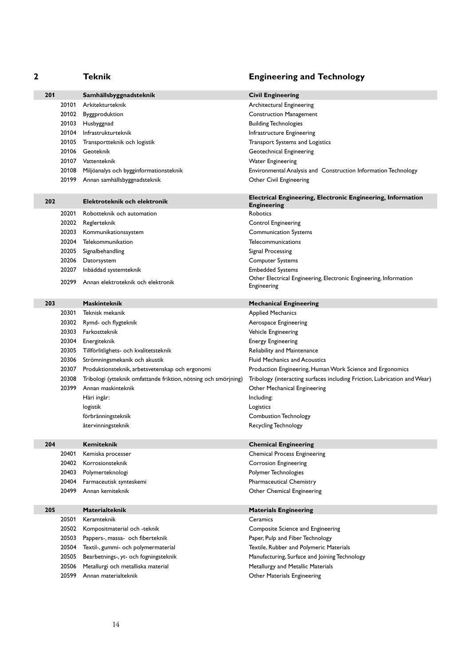| 2   |       | <b>Teknik</b>                                                   | <b>Engineering and Technology</b>                                                        |
|-----|-------|-----------------------------------------------------------------|------------------------------------------------------------------------------------------|
| 201 |       | Samhällsbyggnadsteknik                                          | <b>Civil Engineering</b>                                                                 |
|     | 20101 | Arkitekturteknik                                                | Architectural Engineering                                                                |
|     |       | 20102 Byggproduktion                                            | <b>Construction Management</b>                                                           |
|     |       | 20103 Husbyggnad                                                | <b>Building Technologies</b>                                                             |
|     | 20104 | Infrastrukturteknik                                             | Infrastructure Engineering                                                               |
|     | 20105 | Transportteknik och logistik                                    | Transport Systems and Logistics                                                          |
|     | 20106 | Geoteknik                                                       | Geotechnical Engineering                                                                 |
|     | 20107 | Vattenteknik                                                    | <b>Water Engineering</b>                                                                 |
|     | 20108 | Miljöanalys och bygginformationsteknik                          | Environmental Analysis and Construction Information Technology                           |
|     | 20199 | Annan samhällsbyggnadsteknik                                    | Other Civil Engineering                                                                  |
| 202 |       | Elektroteknik och elektronik                                    | <b>Electrical Engineering, Electronic Engineering, Information</b><br><b>Engineering</b> |
|     | 20201 | Robotteknik och automation                                      | Robotics                                                                                 |
|     | 20202 | Reglerteknik                                                    | <b>Control Engineering</b>                                                               |
|     | 20203 | Kommunikationssystem                                            | <b>Communication Systems</b>                                                             |
|     | 20204 | Telekommunikation                                               | Telecommunications                                                                       |
|     | 20205 | Signalbehandling                                                | Signal Processing                                                                        |
|     | 20206 | Datorsystem                                                     | <b>Computer Systems</b>                                                                  |
|     | 20207 | Inbäddad systemteknik                                           | <b>Embedded Systems</b>                                                                  |
|     | 20299 | Annan elektroteknik och elektronik                              | Other Electrical Engineering, Electronic Engineering, Information<br>Engineering         |
| 203 |       | <b>Maskinteknik</b>                                             | <b>Mechanical Engineering</b>                                                            |
|     | 20301 | Teknisk mekanik                                                 | <b>Applied Mechanics</b>                                                                 |
|     | 20302 | Rymd- och flygteknik                                            | Aerospace Engineering                                                                    |
|     |       | 20303 Farkostteknik                                             | Vehicle Engineering                                                                      |
|     | 20304 | Energiteknik                                                    | <b>Energy Engineering</b>                                                                |
|     | 20305 | Tillförlitlighets- och kvalitetsteknik                          | Reliability and Maintenance                                                              |
|     | 20306 | Strömningsmekanik och akustik                                   | <b>Fluid Mechanics and Acoustics</b>                                                     |
|     | 20307 | Produktionsteknik, arbetsvetenskap och ergonomi                 | Production Engineering, Human Work Science and Ergonomics                                |
|     | 20308 | Tribologi (ytteknik omfattande friktion, nötning och smörjning) | Tribology (interacting surfaces including Friction, Lubrication and Wear)                |
|     | 20399 | Annan maskinteknik                                              | Other Mechanical Engineering                                                             |
|     |       | Häri ingår:                                                     | Including:                                                                               |
|     |       | logistik                                                        | Logistics                                                                                |
|     |       | förbränningsteknik                                              | <b>Combustion Technology</b>                                                             |
|     |       | återvinningsteknik                                              | <b>Recycling Technology</b>                                                              |
| 204 |       | Kemiteknik                                                      | <b>Chemical Engineering</b>                                                              |
|     | 20401 | Kemiska processer                                               | <b>Chemical Process Engineering</b>                                                      |
|     | 20402 | Korrosionsteknik                                                | Corrosion Engineering                                                                    |
|     | 20403 | Polymerteknologi                                                | Polymer Technologies                                                                     |
|     | 20404 | Farmaceutisk synteskemi                                         | Pharmaceutical Chemistry                                                                 |
|     | 20499 | Annan kemiteknik                                                | Other Chemical Engineering                                                               |
| 205 |       | <b>Materialteknik</b>                                           | <b>Materials Engineering</b>                                                             |
|     | 20501 | Keramteknik                                                     | Ceramics                                                                                 |
|     | 20502 | Kompositmaterial och -teknik                                    | Composite Science and Engineering                                                        |
|     | 20503 | Pappers-, massa- och fiberteknik                                | Paper, Pulp and Fiber Technology                                                         |
|     | 20504 | Textil-, gummi- och polymermaterial                             | Textile, Rubber and Polymeric Materials                                                  |
|     | 20505 | Bearbetnings-, yt- och fogningsteknik                           | Manufacturing, Surface and Joining Technology                                            |
|     | 20506 | Metallurgi och metalliska material                              | Metallurgy and Metallic Materials                                                        |
|     | 20599 | Annan materialteknik                                            | Other Materials Engineering                                                              |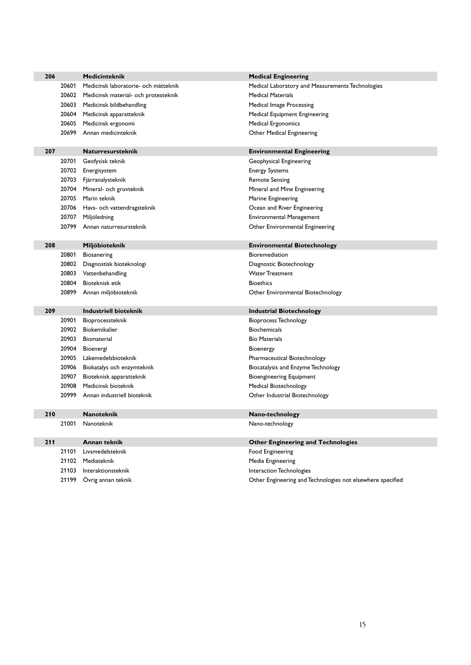| 206 | <b>Medicinteknik</b>                          | <b>Medical Engineering</b>                                 |
|-----|-----------------------------------------------|------------------------------------------------------------|
|     | 20601<br>Medicinsk laboratorie- och mätteknik | Medical Laboratory and Measurements Technologies           |
|     | 20602<br>Medicinsk material- och protesteknik | <b>Medical Materials</b>                                   |
|     | 20603<br>Medicinsk bildbehandling             | Medical Image Processing                                   |
|     | 20604<br>Medicinsk apparatteknik              | <b>Medical Equipment Engineering</b>                       |
|     | 20605<br>Medicinsk ergonomi                   | Medical Ergonomics                                         |
|     | 20699<br>Annan medicinteknik                  | Other Medical Engineering                                  |
|     |                                               |                                                            |
| 207 | <b>Naturresursteknik</b>                      | <b>Environmental Engineering</b>                           |
|     | 20701<br>Geofysisk teknik                     | Geophysical Engineering                                    |
|     | 20702<br>Energisystem                         | <b>Energy Systems</b>                                      |
|     | 20703<br>Fjärranalysteknik                    | <b>Remote Sensing</b>                                      |
|     | 20704<br>Mineral- och gruvteknik              | Mineral and Mine Engineering                               |
|     | 20705<br>Marin teknik                         | Marine Engineering                                         |
|     | 20706<br>Havs- och vattendragsteknik          | Ocean and River Engineering                                |
|     | 20707<br>Miljöledning                         | Environmental Management                                   |
|     | 20799<br>Annan naturresursteknik              | Other Environmental Engineering                            |
|     |                                               |                                                            |
| 208 | Miljöbioteknik                                | <b>Environmental Biotechnology</b>                         |
|     | 20801<br>Biosanering                          | Bioremediation                                             |
|     | 20802<br>Diagnostisk bioteknologi             | Diagnostic Biotechnology                                   |
|     | 20803<br>Vattenbehandling                     | <b>Water Treatment</b>                                     |
|     | 20804<br>Bioteknisk etik                      | <b>Bioethics</b>                                           |
|     | 20899<br>Annan miljöbioteknik                 | Other Environmental Biotechnology                          |
|     |                                               |                                                            |
| 209 | <b>Industriell bioteknik</b>                  | <b>Industrial Biotechnology</b>                            |
|     | Bioprocessteknik<br>20901                     | Bioprocess Technology                                      |
|     | Biokemikalier<br>20902                        | <b>Biochemicals</b>                                        |
|     | 20903<br>Biomaterial                          | <b>Bio Materials</b>                                       |
|     | 20904<br>Bioenergi                            | Bioenergy                                                  |
|     | 20905<br>Läkemedelsbioteknik                  | Pharmaceutical Biotechnology                               |
|     | 20906<br>Biokatalys och enzymteknik           | Biocatalysis and Enzyme Technology                         |
|     | 20907<br>Bioteknisk apparatteknik             | Bioengineering Equipment                                   |
|     | 20908<br>Medicinsk bioteknik                  | Medical Biotechnology                                      |
|     | 20999<br>Annan industriell bioteknik          | Other Industrial Biotechnology                             |
| 210 | <b>Nanoteknik</b>                             | Nano-technology                                            |
|     | 21001 Nanoteknik                              | Nano-technology                                            |
|     |                                               |                                                            |
| 211 | Annan teknik                                  | <b>Other Engineering and Technologies</b>                  |
|     | Livsmedelsteknik<br>21101                     | Food Engineering                                           |
|     | 21102 Mediateknik                             | Media Engineering                                          |
|     | Interaktionsteknik<br>21103                   | Interaction Technologies                                   |
|     | 21199<br>Övrig annan teknik                   | Other Engineering and Technologies not elsewhere specified |
|     |                                               |                                                            |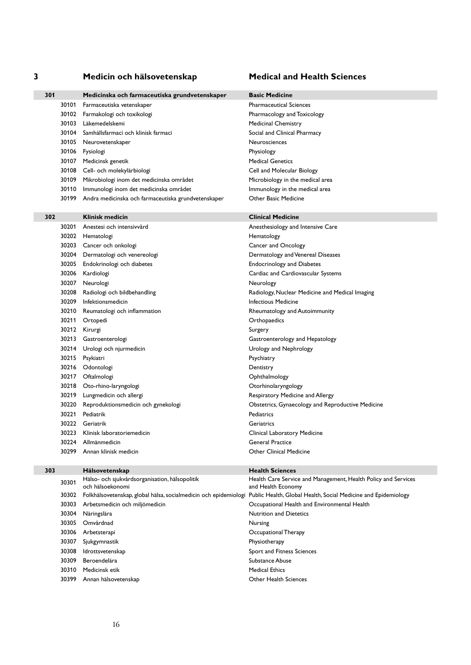### **3 Medicin och hälsovetenskap Medical and Health Sciences**

| 301 |       | Medicinska och farmaceutiska grundvetenskaper       | <b>Basic Medicine</b>   |
|-----|-------|-----------------------------------------------------|-------------------------|
|     | 30101 | Farmaceutiska vetenskaper                           | <b>Pharmaceutical S</b> |
|     | 30102 | Farmakologi och toxikologi                          | Pharmacology an         |
|     | 30103 | Läkemedelskemi                                      | <b>Medicinal Chemi</b>  |
|     | 30104 | Samhällsfarmaci och klinisk farmaci                 | Social and Clinica      |
|     | 30105 | Neurovetenskaper                                    | Neurosciences           |
|     | 30106 | Fysiologi                                           | Physiology              |
|     | 30107 | Medicinsk genetik                                   | <b>Medical Genetics</b> |
|     | 30108 | Cell- och molekylärbiologi                          | Cell and Molecul        |
|     | 30109 | Mikrobiologi inom det medicinska området            | Microbiology in t       |
|     | 30110 | Immunologi inom det medicinska området              | Immunology in th        |
|     | 30199 | Andra medicinska och farmaceutiska grundvetenskaper | Other Basic Med         |

| Basic Medicin |
|---------------|
|               |

Pharmaceutical Sciences Pharmacology and Toxicology Medicinal Chemistry Social and Clinical Pharmacy Neurosciences Physiology **Medical Genetics** Cell and Molecular Biology Microbiology in the medical area Immunology in the medical area Other Basic Medicine

### **302 Klinisk medicin Clinical Medicine** 30201 Anestesi och intensivvård **Anesthesiology and Intensive Care** 30202 Hematologi **Hematology** Hematology 30203 Cancer och onkologi Cancer and Oncology 30204 Dermatologi och venereologi and Venereal Diseases Dermatology and Venereal Diseases 30205 Endokrinologi och diabetes Endocrinology and Diabetes 30206 Kardiologi Cardiac and Cardiovascular Systems 30207 Neurologi **Neurology** 30208 Radiologi och bildbehandling **Radiology, Nuclear Medicine and Medical Imaging** Radiology, Nuclear Medicine and Medical Imaging 30209 Infektionsmedicin and a state of the state of the line of the line of the line of the line of the line of the line of the line of the line of the line of the line of the line of the line of the line of the line of th 30210 Reumatologi och inflammation Rheumatology and Autoimmunity 30211 Ortopedi **Orthopaedics** 30212 Kirurgi **Surgery** Surgery 30213 Gastroenterologi Gastroenterology and Hepatology 30214 Urologi och njurmedicin and and an urology and Nephrology 30215 Psykiatri **Propinsi Psychiatry** Psychiatry 30216 Odontologi Dentistry 30217 Oftalmologi **Ophthalmology** 30218 Oto-rhino-laryngologi charged and a controllaryngology 30219 Lungmedicin och allergi and allergi and Allergy Respiratory Medicine and Allergy 30220 Reproduktionsmedicin och gynekologi Obstetrics, Gynaecology and Reproductive Medicine 30221 Pediatrik **Pediatrics** Pediatrics 30222 Geriatrik Geriatrics 30223 Klinisk laboratoriemedicin Clinical Laboratory Medicine 30224 Allmänmedicin General Practice 30299 Annan klinisk medicin Other Clinical Medicine

**303 Hälsovetenskap Health Sciences** <sup>30301</sup> Hälso- och sjukvårdsorganisation, hälsopolitik och hälsoekonomi Health Care Service and Management, Health Policy and Services and Health Economy 30302 Folkhälsovetenskap, global hälsa, socialmedicin och epidemiologi Public Health, Global Health, Social Medicine and Epidemiology 30303 Arbetsmedicin och miljömedicin Occupational Health and Environmental Health 30304 Näringslära Nutrition and Dietetics 30305 Omvårdnad Nursing 30306 Arbetsterapi Occupational Therapy 30307 Sjukgymnastik Physiotherapy 30308 Idrottsvetenskap Sport and Fitness Sciences 30309 Beroendelära Substance Abuse 30310 Medicinsk etik Medical Ethics and Medical Ethics Medical Ethics and Medical Ethics and Medical Ethics and Medical Ethics and Medical Ethics and Medical Ethics and Medical Ethics and Medical Ethics and Medical Ethics 30399 Annan hälsovetenskap Charles and Charles Community Community Community Community Community Community Community Community Community Community Community Community Community Community Community Community Community Commu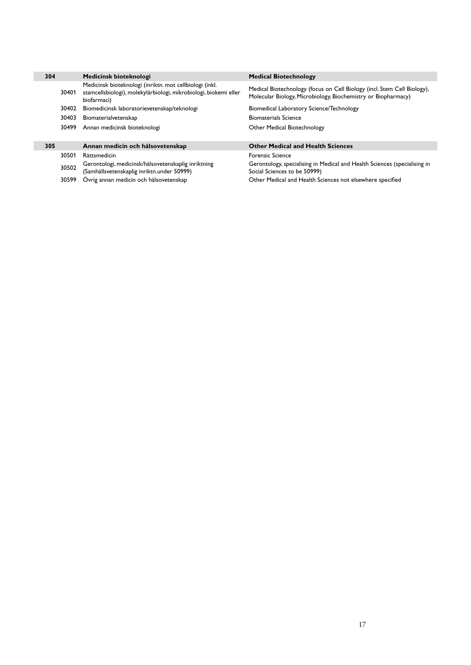| 304 |       | Medicinsk bioteknologi                                                                                                                     | <b>Medical Biotechnology</b>                                                                                                             |
|-----|-------|--------------------------------------------------------------------------------------------------------------------------------------------|------------------------------------------------------------------------------------------------------------------------------------------|
|     | 30401 | Medicinsk bioteknologi (inriktn. mot cellbiologi (inkl.<br>stamcellsbiologi), molekylärbiologi, mikrobiologi, biokemi eller<br>biofarmaci) | Medical Biotechnology (focus on Cell Biology (incl. Stem Cell Biology),<br>Molecular Biology, Microbiology, Biochemistry or Biopharmacy) |
|     | 30402 | Biomedicinsk laboratorievetenskap/teknologi                                                                                                | Biomedical Laboratory Science/Technology                                                                                                 |
|     | 30403 | Biomaterialvetenskap                                                                                                                       | <b>Biomaterials Science</b>                                                                                                              |
|     | 30499 | Annan medicinsk bioteknologi                                                                                                               | Other Medical Biotechnology                                                                                                              |
|     |       |                                                                                                                                            |                                                                                                                                          |
| 305 |       | Annan medicin och hälsovetenskap                                                                                                           | <b>Other Medical and Health Sciences</b>                                                                                                 |
|     | 30501 | Rättsmedicin                                                                                                                               | <b>Forensic Science</b>                                                                                                                  |
|     | 30502 | Gerontologi, medicinsk/hälsovetenskaplig inriktning<br>(Samhällsvetenskaplig inriktn.under 50999)                                          | Gerontology, specialising in Medical and Health Sciences (specialising in<br>Social Sciences to be 50999)                                |

30599 Övrig annan medicin och hälsovetenskap Other Medical and Health Sciences not elsewhere specified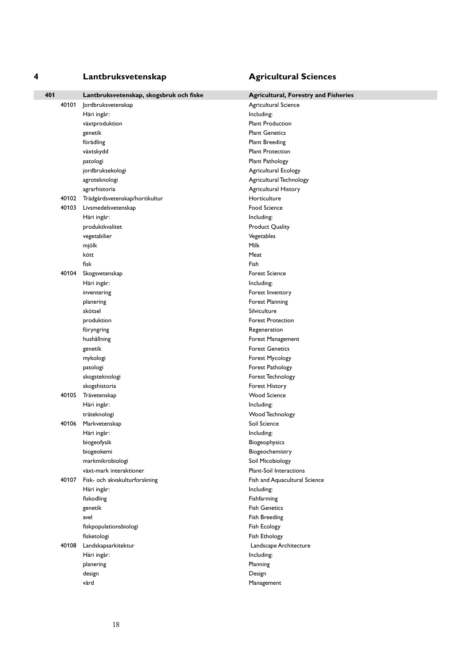## **4 Lantbruksvetenskap Agricultural Sciences**

| 401 |       | Lantbruksvetenskap, skogsbruk och fiske | <b>Agricultural, Forestry and Fisheries</b> |
|-----|-------|-----------------------------------------|---------------------------------------------|
|     | 40101 | Jordbruksvetenskap                      | Agricultural Science                        |
|     |       | Häri ingår:                             | Including:                                  |
|     |       | växtproduktion                          | <b>Plant Production</b>                     |
|     |       | genetik                                 | <b>Plant Genetics</b>                       |
|     |       | förädling                               | <b>Plant Breeding</b>                       |
|     |       | växtskydd                               | <b>Plant Protection</b>                     |
|     |       | patologi                                | Plant Pathology                             |
|     |       | jordbruksekologi                        | Agricultural Ecology                        |
|     |       | agroteknologi                           | Agricultural Technology                     |
|     |       | agrarhistoria                           | Agricultural History                        |
|     | 40102 | Trädgårdsvetenskap/hortikultur          | Horticulture                                |
|     |       | 40103 Livsmedelsvetenskap               | <b>Food Science</b>                         |
|     |       | Häri ingår:                             | Including:                                  |
|     |       | produktkvalitet                         | Product Quality                             |
|     |       | vegetabilier                            | Vegetables                                  |
|     |       | mjölk                                   | <b>Milk</b>                                 |
|     |       | kött                                    | Meat                                        |
|     |       | fisk                                    | Fish                                        |
|     | 40104 | Skogsvetenskap                          | <b>Forest Science</b>                       |
|     |       | Häri ingår:                             | Including:                                  |
|     |       | inventering                             | Forest Inventory                            |
|     |       | planering                               | Forest Planning                             |
|     |       | skötsel                                 | Silviculture                                |
|     |       | produktion                              | <b>Forest Protection</b>                    |
|     |       | föryngring                              | Regeneration                                |
|     |       | hushållning                             | Forest Management                           |
|     |       | genetik                                 | <b>Forest Genetics</b>                      |
|     |       | mykologi                                | Forest Mycology                             |
|     |       | patologi                                | Forest Pathology                            |
|     |       | skogsteknologi                          | Forest Technology                           |
|     |       | skogshistoria                           | Forest History                              |
|     |       | 40105 Trävetenskap                      | <b>Wood Science</b>                         |
|     |       | Häri ingår:                             | Including:                                  |
|     |       | träteknologi                            | Wood Technology                             |
|     | 40106 | Markvetenskap                           | Soil Science                                |
|     |       | Häri ingår:                             | Including:                                  |
|     |       | biogeofysik                             | Biogeophysics                               |
|     |       | biogeokemi                              | Biogeochemistry                             |
|     |       | markmikrobiologi                        | Soil Micobiology                            |
|     |       | växt-mark interaktioner                 | Plant-Soil Interactions                     |
|     | 40107 | Fisk- och akvakulturforskning           | Fish and Aquacultural Science               |
|     |       | Häri ingår:                             | Including:                                  |
|     |       | fiskodling                              | Fishfarming                                 |
|     |       | genetik                                 | <b>Fish Genetics</b>                        |
|     |       | avel                                    | Fish Breeding                               |
|     |       | fiskpopulationsbiologi                  | Fish Ecology                                |
|     |       | fisketologi                             | Fish Ethology                               |
|     | 40108 | Landskapsarkitektur                     | Landscape Architecture                      |
|     |       | Häri ingår:                             | Including:                                  |
|     |       | planering                               | Planning                                    |
|     |       | design                                  | Design                                      |
|     |       | vård                                    | Management                                  |
|     |       |                                         |                                             |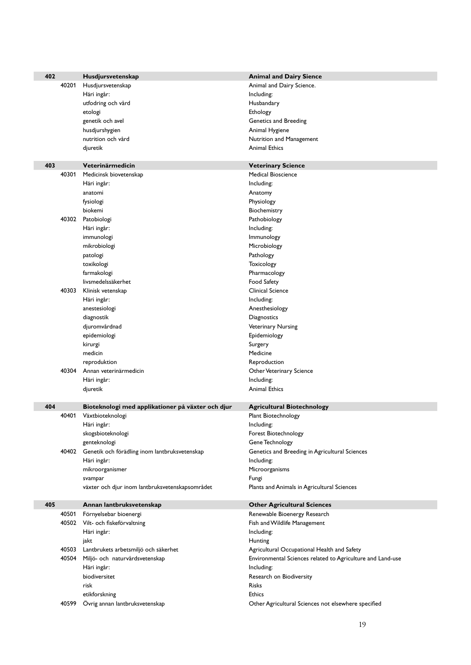| 402 |       | Husdjursvetenskap                                   | <b>Animal and Dairy Sience</b>                             |
|-----|-------|-----------------------------------------------------|------------------------------------------------------------|
|     | 40201 | Husdjursvetenskap                                   | Animal and Dairy Science.                                  |
|     |       | Häri ingår:                                         | Including:                                                 |
|     |       | utfodring och vård                                  | Husbandary                                                 |
|     |       | etologi                                             | Ethology                                                   |
|     |       | genetik och avel                                    | Genetics and Breeding                                      |
|     |       | husdjurshygien                                      | Animal Hygiene                                             |
|     |       | nutrition och vård                                  | Nutrition and Management                                   |
|     |       | djuretik                                            | <b>Animal Ethics</b>                                       |
|     |       |                                                     |                                                            |
| 403 |       | Veterinärmedicin                                    | <b>Veterinary Science</b>                                  |
|     | 40301 | Medicinsk biovetenskap                              | <b>Medical Bioscience</b>                                  |
|     |       | Häri ingår:                                         | Including:                                                 |
|     |       | anatomi                                             | Anatomy                                                    |
|     |       | fysiologi                                           | Physiology                                                 |
|     |       | biokemi                                             | Biochemistry                                               |
|     |       | 40302 Patobiologi                                   | Pathobiology                                               |
|     |       | Häri ingår:                                         | Including:                                                 |
|     |       | immunologi                                          | Immunology                                                 |
|     |       | mikrobiologi                                        | Microbiology                                               |
|     |       | patologi                                            | Pathology                                                  |
|     |       | toxikologi                                          | Toxicology                                                 |
|     |       | farmakologi                                         | Pharmacology                                               |
|     |       | livsmedelssäkerhet                                  | Food Safety                                                |
|     | 40303 | Klinisk vetenskap                                   | Clinical Science                                           |
|     |       | Häri ingår:                                         | Including:                                                 |
|     |       | anestesiologi                                       | Anesthesiology                                             |
|     |       | diagnostik                                          | Diagnostics                                                |
|     |       | djuromvårdnad                                       | Veterinary Nursing                                         |
|     |       | epidemiologi                                        | Epidemiology                                               |
|     |       | kirurgi                                             | Surgery                                                    |
|     |       | medicin                                             | Medicine                                                   |
|     |       | reproduktion                                        | Reproduction                                               |
|     |       | 40304 Annan veterinärmedicin                        | Other Veterinary Science                                   |
|     |       | Häri ingår:                                         | Including:                                                 |
|     |       | djuretik                                            | <b>Animal Ethics</b>                                       |
|     |       |                                                     |                                                            |
| 404 |       | Bioteknologi med applikationer på växter och djur   | <b>Agricultural Biotechnology</b>                          |
|     | 40401 | Växtbioteknologi                                    | Plant Biotechnology                                        |
|     |       | Häri ingår:                                         | Including:                                                 |
|     |       | skogsbioteknologi                                   | Forest Biotechnology                                       |
|     |       | genteknologi                                        | Gene Technology                                            |
|     |       | 40402 Genetik och förädling inom lantbruksvetenskap | Genetics and Breeding in Agricultural Sciences             |
|     |       | Häri ingår:                                         | Including:                                                 |
|     |       | mikroorganismer                                     | Microorganisms                                             |
|     |       | svampar                                             | Fungi                                                      |
|     |       | växter och djur inom lantbruksvetenskapsområdet     | Plants and Animals in Agricultural Sciences                |
|     |       |                                                     |                                                            |
| 405 |       | Annan lantbruksvetenskap                            | <b>Other Agricultural Sciences</b>                         |
|     | 40501 | Förnyelsebar bioenergi                              | Renewable Bioenergy Research                               |
|     |       | 40502 Vilt- och fiskeförvaltning                    | Fish and Wildlife Management                               |
|     |       | Häri ingår:                                         | Including:                                                 |
|     |       | jakt                                                | Hunting                                                    |
|     | 40503 | Lantbrukets arbetsmiljö och säkerhet                | Agricultural Occupational Health and Safety                |
|     | 40504 | Miljö- och naturvårdsvetenskap                      | Environmental Sciences related to Agriculture and Land-use |
|     |       | Häri ingår:                                         | Including:                                                 |
|     |       | biodiversitet                                       | Research on Biodiversity                                   |
|     |       | risk                                                | Risks                                                      |
|     |       | etikforskning                                       | <b>Ethics</b>                                              |
|     | 40599 | Övrig annan lantbruksvetenskap                      | Other Agricultural Sciences not elsewhere specified        |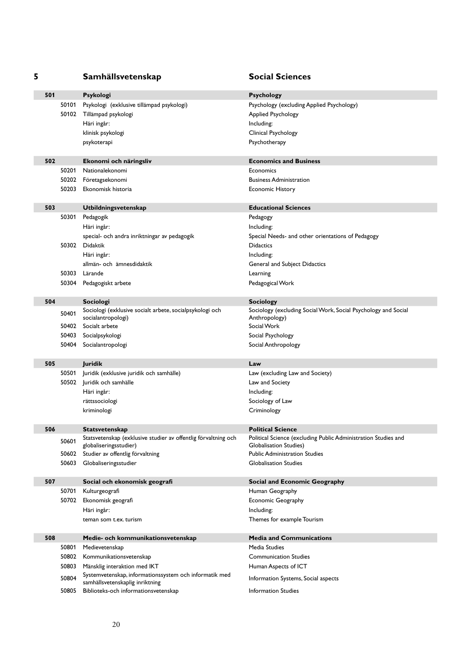| 5   |       | Samhällsvetenskap                                              | <b>Social Sciences</b>                                         |
|-----|-------|----------------------------------------------------------------|----------------------------------------------------------------|
| 501 |       | Psykologi                                                      | <b>Psychology</b>                                              |
|     | 50101 | Psykologi (exklusive tillämpad psykologi)                      | Psychology (excluding Applied Psychology)                      |
|     |       | 50102 Tillämpad psykologi                                      | <b>Applied Psychology</b>                                      |
|     |       | Häri ingår:                                                    | Including:                                                     |
|     |       | klinisk psykologi                                              | Clinical Psychology                                            |
|     |       | psykoterapi                                                    | Psychotherapy                                                  |
|     |       |                                                                |                                                                |
| 502 |       | Ekonomi och näringsliv                                         | <b>Economics and Business</b>                                  |
|     | 50201 | Nationalekonomi                                                | Economics                                                      |
|     | 50202 | Företagsekonomi                                                | <b>Business Administration</b>                                 |
|     | 50203 | Ekonomisk historia                                             | <b>Economic History</b>                                        |
| 503 |       | Utbildningsvetenskap                                           | <b>Educational Sciences</b>                                    |
|     | 50301 | Pedagogik                                                      | Pedagogy                                                       |
|     |       | Häri ingår:                                                    | Including:                                                     |
|     |       | special- och andra inriktningar av pedagogik                   | Special Needs- and other orientations of Pedagogy              |
|     |       | 50302 Didaktik                                                 | <b>Didactics</b>                                               |
|     |       | Häri ingår:                                                    | Including:                                                     |
|     |       | allmän- och ämnesdidaktik                                      | General and Subject Didactics                                  |
|     | 50303 | Lärande                                                        | Learning                                                       |
|     | 50304 | Pedagogiskt arbete                                             | Pedagogical Work                                               |
| 504 |       | Sociologi                                                      | Sociology                                                      |
|     | 50401 | Sociologi (exklusive socialt arbete, socialpsykologi och       | Sociology (excluding Social Work, Social Psychology and Social |
|     |       | socialantropologi)                                             | Anthropology)                                                  |
|     | 50402 | Socialt arbete                                                 | Social Work                                                    |
|     | 50403 | Socialpsykologi                                                | Social Psychology                                              |
|     | 50404 | Socialantropologi                                              | Social Anthropology                                            |
| 505 |       | Juridik                                                        | Law                                                            |
|     | 50501 | Juridik (exklusive juridik och samhälle)                       | Law (excluding Law and Society)                                |
|     | 50502 | Juridik och samhälle                                           | Law and Society                                                |
|     |       | Häri ingår:                                                    | Including:                                                     |
|     |       | rättssociologi                                                 | Sociology of Law                                               |
|     |       | kriminologi                                                    | Criminology                                                    |
| 506 |       | <b>Statsvetenskap</b>                                          | <b>Political Science</b>                                       |
|     | 50601 | Statsvetenskap (exklusive studier av offentlig förvaltning och | Political Science (excluding Public Administration Studies and |
|     |       | globaliseringsstudier)                                         | Globalisation Studies)                                         |
|     | 50602 | Studier av offentlig förvaltning                               | <b>Public Administration Studies</b>                           |
|     | 50603 | Globaliseringsstudier                                          | <b>Globalisation Studies</b>                                   |
| 507 |       | Social och ekonomisk geografi                                  | Social and Economic Geography                                  |
|     | 50701 | Kulturgeografi                                                 | Human Geography                                                |
|     | 50702 | Ekonomisk geografi                                             | Economic Geography                                             |
|     |       | Häri ingår:                                                    | Including:                                                     |
|     |       | teman som t.ex. turism                                         | Themes for example Tourism                                     |
|     |       |                                                                |                                                                |
| 508 | 50801 | Medie- och kommunikationsvetenskap<br>Medievetenskap           | <b>Media and Communications</b><br>Media Studies               |
|     | 50802 | Kommunikationsvetenskap                                        | <b>Communication Studies</b>                                   |
|     | 50803 | Mänsklig interaktion med IKT                                   | Human Aspects of ICT                                           |
|     |       | Systemvetenskap, informationssystem och informatik med         |                                                                |
|     | 50804 | samhällsvetenskaplig inriktning                                | Information Systems, Social aspects                            |
|     | 50805 | Biblioteks-och informationsvetenskap                           | <b>Information Studies</b>                                     |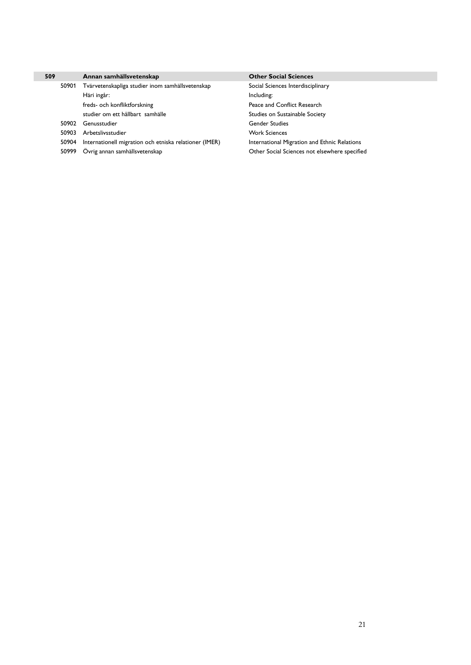| 509   | Annan samhällsvetenskap                                | <b>Other Social Sciences</b>                  |
|-------|--------------------------------------------------------|-----------------------------------------------|
| 50901 | Tvärvetenskapliga studier inom samhällsvetenskap       | Social Sciences Interdisciplinary             |
|       | Häri ingår:                                            | Including:                                    |
|       | freds- och konfliktforskning                           | Peace and Conflict Research                   |
|       | studier om ett hållbart samhälle                       | Studies on Sustainable Society                |
| 50902 | Genusstudier                                           | <b>Gender Studies</b>                         |
| 50903 | Arbetslivsstudier                                      | <b>Work Sciences</b>                          |
| 50904 | Internationell migration och etniska relationer (IMER) | International Migration and Ethnic Relations  |
| 50999 | Övrig annan samhällsvetenskap                          | Other Social Sciences not elsewhere specified |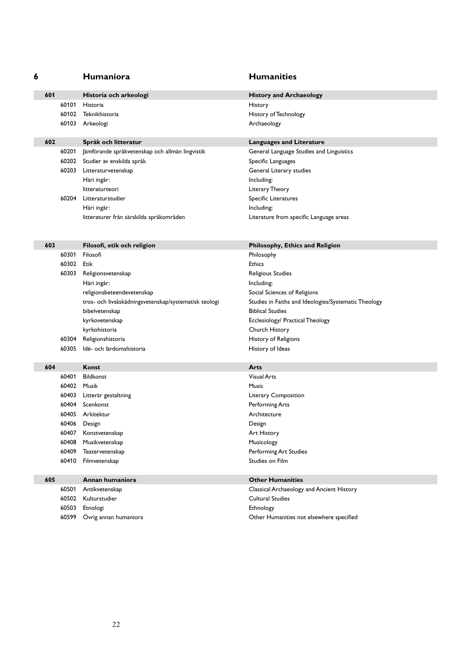| 6 |       | Humaniora                                             | <b>Humanities</b>                                    |
|---|-------|-------------------------------------------------------|------------------------------------------------------|
|   | 601   | Historia och arkeologi                                | <b>History and Archaeology</b>                       |
|   | 60101 | Historia                                              | History                                              |
|   |       | 60102 Teknikhistoria                                  | History of Technology                                |
|   |       | 60103 Arkeologi                                       | Archaeology                                          |
|   |       |                                                       |                                                      |
|   | 602   | Språk och litteratur                                  | <b>Languages and Literature</b>                      |
|   | 60201 | Jämförande språkvetenskap och allmän lingvistik       | General Language Studies and Linguistics             |
|   |       | 60202 Studier av enskilda språk                       | Specific Languages                                   |
|   |       | 60203 Litteraturvetenskap                             | General Literary studies                             |
|   |       | Häri ingår:                                           | Including:                                           |
|   |       | litteraturteori                                       | Literary Theory                                      |
|   | 60204 | Litteraturstudier                                     | Specific Literatures                                 |
|   |       | Häri ingår:                                           | Including:                                           |
|   |       | litteraturer från särskilda språkområden              | Literature from specific Language areas              |
|   |       |                                                       |                                                      |
|   | 603   | Filosofi, etik och religion                           | Philosophy, Ethics and Religion                      |
|   | 60301 | Filosofi                                              | Philosophy                                           |
|   |       | 60302 Etik                                            | <b>Ethics</b>                                        |
|   | 60303 | Religionsvetenskap                                    | Religious Studies                                    |
|   |       | Häri ingår:                                           | Including:                                           |
|   |       | religionsbeteendevetenskap                            | Social Sciences of Religions                         |
|   |       | tros- och livsåskådningsvetenskap/systematisk teologi | Studies in Faiths and Ideologies/Systematic Theology |
|   |       | bibelvetenskap                                        | <b>Biblical Studies</b>                              |
|   |       | kyrkovetenskap                                        | Ecclesiology/ Practical Theology                     |
|   |       | kyrkohistoria                                         | Church History                                       |
|   | 60304 | Religionshistoria                                     | History of Religions                                 |
|   | 60305 | Idé- och lärdomshistoria                              | History of Ideas                                     |
|   |       |                                                       |                                                      |
|   | 604   | Konst                                                 | Arts                                                 |
|   | 60401 | Bildkonst                                             | <b>Visual Arts</b>                                   |
|   |       | 60402 Musik                                           | Music                                                |
|   |       | 60403 Litterär gestaltning                            | Literary Composition                                 |
|   |       | 60404 Scenkonst                                       | Performing Arts                                      |
|   |       | 60405 Arkitektur                                      | Architecture                                         |
|   |       | 60406 Design                                          | Design                                               |
|   | 60407 | Konstvetenskap                                        | Art History                                          |
|   | 60408 | Musikvetenskap                                        | Musicology                                           |
|   | 60409 | Teatervetenskap                                       | Performing Art Studies                               |
|   | 60410 | Filmvetenskap                                         | Studies on Film                                      |
|   |       |                                                       |                                                      |
|   | 605   | Annan humaniora                                       | <b>Other Humanities</b>                              |
|   | 60501 | Antikvetenskap                                        | Classical Archaeology and Ancient History            |
|   | 60502 | Kulturstudier                                         | <b>Cultural Studies</b>                              |
|   | 60503 | Etnologi                                              | Ethnology                                            |
|   | 60599 | Övrig annan humaniora                                 | Other Humanities not elsewhere specified             |